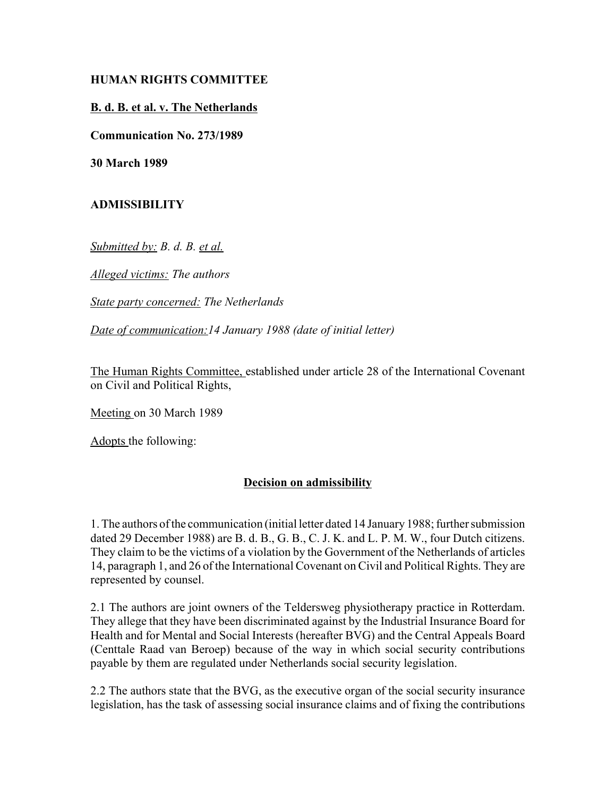# **HUMAN RIGHTS COMMITTEE**

#### **B. d. B. et al. v. The Netherlands**

**Communication No. 273/1989**

**30 March 1989**

### **ADMISSIBILITY**

*Submitted by: B. d. B. et al.*

*Alleged victims: The authors*

*State party concerned: The Netherlands*

*Date of communication:14 January 1988 (date of initial letter)*

The Human Rights Committee, established under article 28 of the International Covenant on Civil and Political Rights,

Meeting on 30 March 1989

Adopts the following:

# **Decision on admissibility**

1. The authors of the communication (initial letter dated 14 January 1988; further submission dated 29 December 1988) are B. d. B., G. B., C. J. K. and L. P. M. W., four Dutch citizens. They claim to be the victims of a violation by the Government of the Netherlands of articles 14, paragraph 1, and 26 of the International Covenant on Civil and Political Rights. They are represented by counsel.

2.1 The authors are joint owners of the Teldersweg physiotherapy practice in Rotterdam. They allege that they have been discriminated against by the Industrial Insurance Board for Health and for Mental and Social Interests (hereafter BVG) and the Central Appeals Board (Centtale Raad van Beroep) because of the way in which social security contributions payable by them are regulated under Netherlands social security legislation.

2.2 The authors state that the BVG, as the executive organ of the social security insurance legislation, has the task of assessing social insurance claims and of fixing the contributions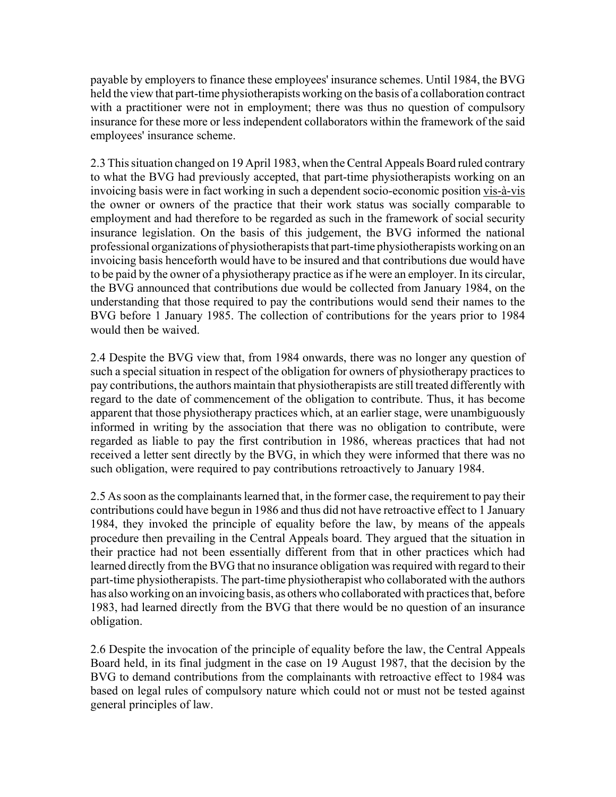payable by employers to finance these employees' insurance schemes. Until 1984, the BVG held the view that part-time physiotherapists working on the basis of a collaboration contract with a practitioner were not in employment; there was thus no question of compulsory insurance for these more or less independent collaborators within the framework of the said employees' insurance scheme.

2.3 This situation changed on 19 April 1983, when the Central Appeals Board ruled contrary to what the BVG had previously accepted, that part-time physiotherapists working on an invoicing basis were in fact working in such a dependent socio-economic position vis-à-vis the owner or owners of the practice that their work status was socially comparable to employment and had therefore to be regarded as such in the framework of social security insurance legislation. On the basis of this judgement, the BVG informed the national professional organizations of physiotherapists that part-time physiotherapists working on an invoicing basis henceforth would have to be insured and that contributions due would have to be paid by the owner of a physiotherapy practice as if he were an employer. In its circular, the BVG announced that contributions due would be collected from January 1984, on the understanding that those required to pay the contributions would send their names to the BVG before 1 January 1985. The collection of contributions for the years prior to 1984 would then be waived.

2.4 Despite the BVG view that, from 1984 onwards, there was no longer any question of such a special situation in respect of the obligation for owners of physiotherapy practices to pay contributions, the authors maintain that physiotherapists are still treated differently with regard to the date of commencement of the obligation to contribute. Thus, it has become apparent that those physiotherapy practices which, at an earlier stage, were unambiguously informed in writing by the association that there was no obligation to contribute, were regarded as liable to pay the first contribution in 1986, whereas practices that had not received a letter sent directly by the BVG, in which they were informed that there was no such obligation, were required to pay contributions retroactively to January 1984.

2.5 As soon as the complainants learned that, in the former case, the requirement to pay their contributions could have begun in 1986 and thus did not have retroactive effect to 1 January 1984, they invoked the principle of equality before the law, by means of the appeals procedure then prevailing in the Central Appeals board. They argued that the situation in their practice had not been essentially different from that in other practices which had learned directly from the BVG that no insurance obligation was required with regard to their part-time physiotherapists. The part-time physiotherapist who collaborated with the authors has also working on an invoicing basis, as others who collaborated with practices that, before 1983, had learned directly from the BVG that there would be no question of an insurance obligation.

2.6 Despite the invocation of the principle of equality before the law, the Central Appeals Board held, in its final judgment in the case on 19 August 1987, that the decision by the BVG to demand contributions from the complainants with retroactive effect to 1984 was based on legal rules of compulsory nature which could not or must not be tested against general principles of law.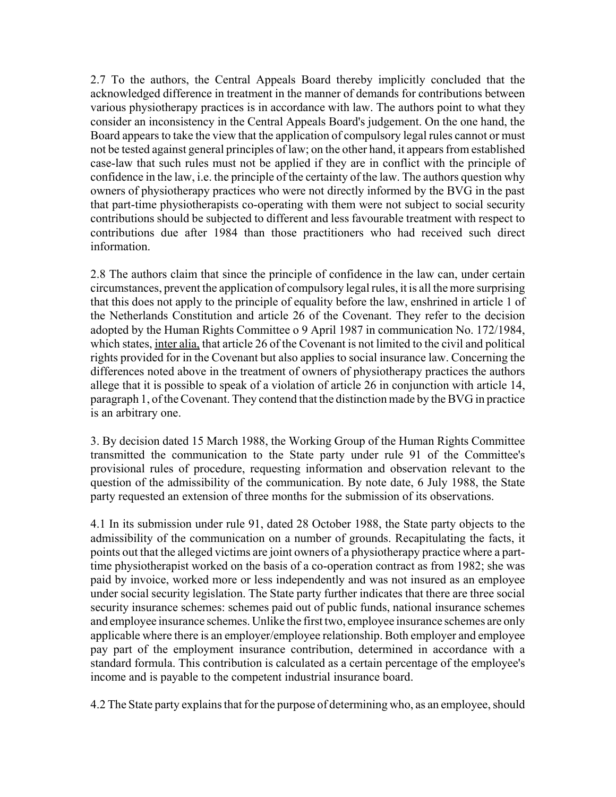2.7 To the authors, the Central Appeals Board thereby implicitly concluded that the acknowledged difference in treatment in the manner of demands for contributions between various physiotherapy practices is in accordance with law. The authors point to what they consider an inconsistency in the Central Appeals Board's judgement. On the one hand, the Board appears to take the view that the application of compulsory legal rules cannot or must not be tested against general principles of law; on the other hand, it appears from established case-law that such rules must not be applied if they are in conflict with the principle of confidence in the law, i.e. the principle of the certainty of the law. The authors question why owners of physiotherapy practices who were not directly informed by the BVG in the past that part-time physiotherapists co-operating with them were not subject to social security contributions should be subjected to different and less favourable treatment with respect to contributions due after 1984 than those practitioners who had received such direct information.

2.8 The authors claim that since the principle of confidence in the law can, under certain circumstances, prevent the application of compulsory legal rules, it is all the more surprising that this does not apply to the principle of equality before the law, enshrined in article 1 of the Netherlands Constitution and article 26 of the Covenant. They refer to the decision adopted by the Human Rights Committee o 9 April 1987 in communication No. 172/1984, which states, inter alia, that article 26 of the Covenant is not limited to the civil and political rights provided for in the Covenant but also applies to social insurance law. Concerning the differences noted above in the treatment of owners of physiotherapy practices the authors allege that it is possible to speak of a violation of article 26 in conjunction with article 14, paragraph 1, of the Covenant. They contend that the distinction made by the BVG in practice is an arbitrary one.

3. By decision dated 15 March 1988, the Working Group of the Human Rights Committee transmitted the communication to the State party under rule 91 of the Committee's provisional rules of procedure, requesting information and observation relevant to the question of the admissibility of the communication. By note date, 6 July 1988, the State party requested an extension of three months for the submission of its observations.

4.1 In its submission under rule 91, dated 28 October 1988, the State party objects to the admissibility of the communication on a number of grounds. Recapitulating the facts, it points out that the alleged victims are joint owners of a physiotherapy practice where a parttime physiotherapist worked on the basis of a co-operation contract as from 1982; she was paid by invoice, worked more or less independently and was not insured as an employee under social security legislation. The State party further indicates that there are three social security insurance schemes: schemes paid out of public funds, national insurance schemes and employee insurance schemes. Unlike the first two, employee insurance schemes are only applicable where there is an employer/employee relationship. Both employer and employee pay part of the employment insurance contribution, determined in accordance with a standard formula. This contribution is calculated as a certain percentage of the employee's income and is payable to the competent industrial insurance board.

4.2 The State party explains that for the purpose of determining who, as an employee, should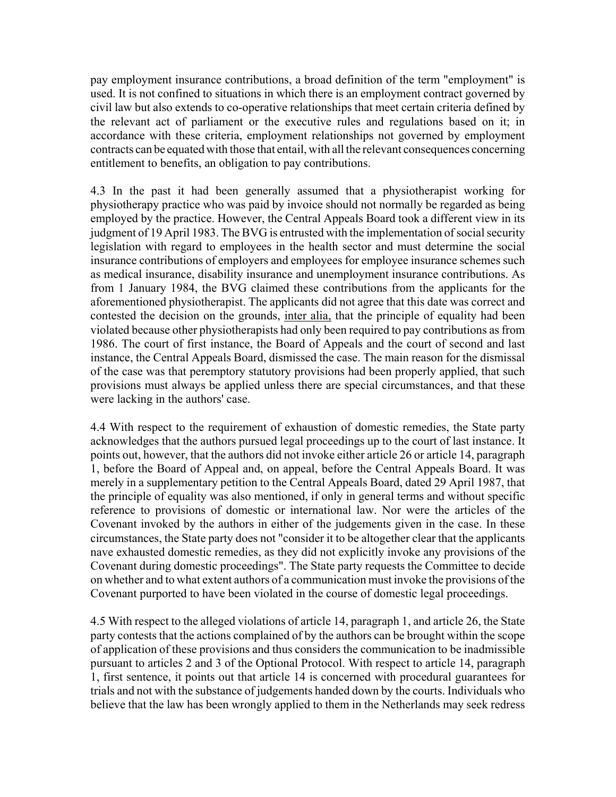pay employment insurance contributions, a broad definition of the term "employment" is used. It is not confined to situations in which there is an employment contract governed by civil law but also extends to co-operative relationships that meet certain criteria defined by the relevant act of parliament or the executive rules and regulations based on it; in accordance with these criteria, employment relationships not governed by employment contracts can be equated with those that entail, with all the relevant consequences concerning entitlement to benefits, an obligation to pay contributions.

4.3 In the past it had been generally assumed that a physiotherapist working for physiotherapy practice who was paid by invoice should not normally be regarded as being employed by the practice. However, the Central Appeals Board took a different view in its judgment of 19 April 1983. The BVG is entrusted with the implementation of social security legislation with regard to employees in the health sector and must determine the social insurance contributions of employers and employees for employee insurance schemes such as medical insurance, disability insurance and unemployment insurance contributions. As from 1 January 1984, the BVG claimed these contributions from the applicants for the aforementioned physiotherapist. The applicants did not agree that this date was correct and contested the decision on the grounds, inter alia, that the principle of equality had been violated because other physiotherapists had only been required to pay contributions as from 1986. The court of first instance, the Board of Appeals and the court of second and last instance, the Central Appeals Board, dismissed the case. The main reason for the dismissal of the case was that peremptory statutory provisions had been properly applied, that such provisions must always be applied unless there are special circumstances, and that these were lacking in the authors' case.

4.4 With respect to the requirement of exhaustion of domestic remedies, the State party acknowledges that the authors pursued legal proceedings up to the court of last instance. It points out, however, that the authors did not invoke either article 26 or article 14, paragraph 1, before the Board of Appeal and, on appeal, before the Central Appeals Board. It was merely in a supplementary petition to the Central Appeals Board, dated 29 April 1987, that the principle of equality was also mentioned, if only in general terms and without specific reference to provisions of domestic or international law. Nor were the articles of the Covenant invoked by the authors in either of the judgements given in the case. In these circumstances, the State party does not "consider it to be altogether clear that the applicants nave exhausted domestic remedies, as they did not explicitly invoke any provisions of the Covenant during domestic proceedings". The State party requests the Committee to decide on whether and to what extent authors of a communication must invoke the provisions of the Covenant purported to have been violated in the course of domestic legal proceedings.

4.5 With respect to the alleged violations of article 14, paragraph 1, and article 26, the State party contests that the actions complained of by the authors can be brought within the scope of application of these provisions and thus considers the communication to be inadmissible pursuant to articles 2 and 3 of the Optional Protocol. With respect to article 14, paragraph 1, first sentence, it points out that article 14 is concerned with procedural guarantees for trials and not with the substance of judgements handed down by the courts. Individuals who believe that the law has been wrongly applied to them in the Netherlands may seek redress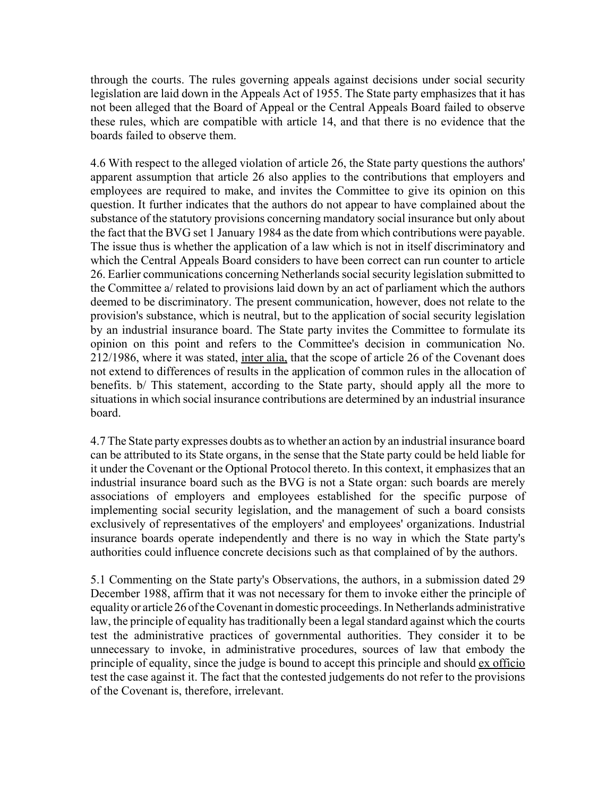through the courts. The rules governing appeals against decisions under social security legislation are laid down in the Appeals Act of 1955. The State party emphasizes that it has not been alleged that the Board of Appeal or the Central Appeals Board failed to observe these rules, which are compatible with article 14, and that there is no evidence that the boards failed to observe them.

4.6 With respect to the alleged violation of article 26, the State party questions the authors' apparent assumption that article 26 also applies to the contributions that employers and employees are required to make, and invites the Committee to give its opinion on this question. It further indicates that the authors do not appear to have complained about the substance of the statutory provisions concerning mandatory social insurance but only about the fact that the BVG set 1 January 1984 as the date from which contributions were payable. The issue thus is whether the application of a law which is not in itself discriminatory and which the Central Appeals Board considers to have been correct can run counter to article 26. Earlier communications concerning Netherlands social security legislation submitted to the Committee a/ related to provisions laid down by an act of parliament which the authors deemed to be discriminatory. The present communication, however, does not relate to the provision's substance, which is neutral, but to the application of social security legislation by an industrial insurance board. The State party invites the Committee to formulate its opinion on this point and refers to the Committee's decision in communication No. 212/1986, where it was stated, inter alia, that the scope of article 26 of the Covenant does not extend to differences of results in the application of common rules in the allocation of benefits. b/ This statement, according to the State party, should apply all the more to situations in which social insurance contributions are determined by an industrial insurance board.

4.7 The State party expresses doubts as to whether an action by an industrial insurance board can be attributed to its State organs, in the sense that the State party could be held liable for it under the Covenant or the Optional Protocol thereto. In this context, it emphasizes that an industrial insurance board such as the BVG is not a State organ: such boards are merely associations of employers and employees established for the specific purpose of implementing social security legislation, and the management of such a board consists exclusively of representatives of the employers' and employees' organizations. Industrial insurance boards operate independently and there is no way in which the State party's authorities could influence concrete decisions such as that complained of by the authors.

5.1 Commenting on the State party's Observations, the authors, in a submission dated 29 December 1988, affirm that it was not necessary for them to invoke either the principle of equality or article 26 of the Covenant in domestic proceedings. In Netherlands administrative law, the principle of equality has traditionally been a legal standard against which the courts test the administrative practices of governmental authorities. They consider it to be unnecessary to invoke, in administrative procedures, sources of law that embody the principle of equality, since the judge is bound to accept this principle and should ex officio test the case against it. The fact that the contested judgements do not refer to the provisions of the Covenant is, therefore, irrelevant.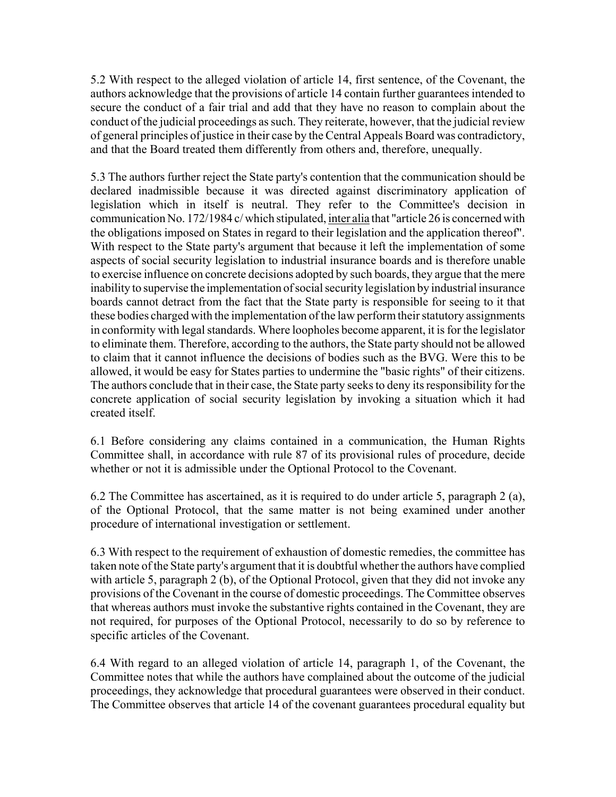5.2 With respect to the alleged violation of article 14, first sentence, of the Covenant, the authors acknowledge that the provisions of article 14 contain further guarantees intended to secure the conduct of a fair trial and add that they have no reason to complain about the conduct of the judicial proceedings as such. They reiterate, however, that the judicial review of general principles of justice in their case by the Central Appeals Board was contradictory, and that the Board treated them differently from others and, therefore, unequally.

5.3 The authors further reject the State party's contention that the communication should be declared inadmissible because it was directed against discriminatory application of legislation which in itself is neutral. They refer to the Committee's decision in communication No. 172/1984 c/ which stipulated, inter alia that "article 26 is concerned with the obligations imposed on States in regard to their legislation and the application thereof". With respect to the State party's argument that because it left the implementation of some aspects of social security legislation to industrial insurance boards and is therefore unable to exercise influence on concrete decisions adopted by such boards, they argue that the mere inability to supervise the implementation of social security legislation by industrial insurance boards cannot detract from the fact that the State party is responsible for seeing to it that these bodies charged with the implementation of the law perform their statutory assignments in conformity with legal standards. Where loopholes become apparent, it is for the legislator to eliminate them. Therefore, according to the authors, the State party should not be allowed to claim that it cannot influence the decisions of bodies such as the BVG. Were this to be allowed, it would be easy for States parties to undermine the "basic rights" of their citizens. The authors conclude that in their case, the State party seeks to deny its responsibility for the concrete application of social security legislation by invoking a situation which it had created itself.

6.1 Before considering any claims contained in a communication, the Human Rights Committee shall, in accordance with rule 87 of its provisional rules of procedure, decide whether or not it is admissible under the Optional Protocol to the Covenant.

6.2 The Committee has ascertained, as it is required to do under article 5, paragraph 2 (a), of the Optional Protocol, that the same matter is not being examined under another procedure of international investigation or settlement.

6.3 With respect to the requirement of exhaustion of domestic remedies, the committee has taken note of the State party's argument that it is doubtful whether the authors have complied with article 5, paragraph 2 (b), of the Optional Protocol, given that they did not invoke any provisions of the Covenant in the course of domestic proceedings. The Committee observes that whereas authors must invoke the substantive rights contained in the Covenant, they are not required, for purposes of the Optional Protocol, necessarily to do so by reference to specific articles of the Covenant.

6.4 With regard to an alleged violation of article 14, paragraph 1, of the Covenant, the Committee notes that while the authors have complained about the outcome of the judicial proceedings, they acknowledge that procedural guarantees were observed in their conduct. The Committee observes that article 14 of the covenant guarantees procedural equality but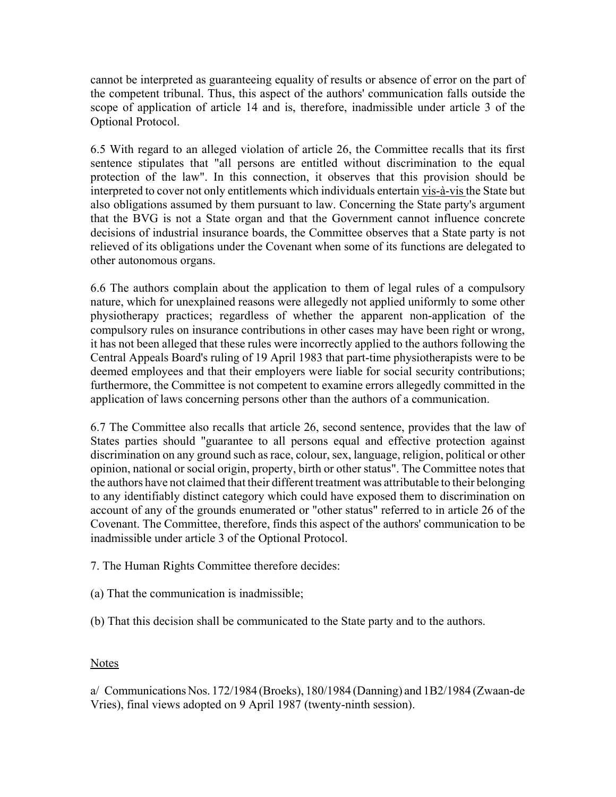cannot be interpreted as guaranteeing equality of results or absence of error on the part of the competent tribunal. Thus, this aspect of the authors' communication falls outside the scope of application of article 14 and is, therefore, inadmissible under article 3 of the Optional Protocol.

6.5 With regard to an alleged violation of article 26, the Committee recalls that its first sentence stipulates that "all persons are entitled without discrimination to the equal protection of the law". In this connection, it observes that this provision should be interpreted to cover not only entitlements which individuals entertain vis-à-vis the State but also obligations assumed by them pursuant to law. Concerning the State party's argument that the BVG is not a State organ and that the Government cannot influence concrete decisions of industrial insurance boards, the Committee observes that a State party is not relieved of its obligations under the Covenant when some of its functions are delegated to other autonomous organs.

6.6 The authors complain about the application to them of legal rules of a compulsory nature, which for unexplained reasons were allegedly not applied uniformly to some other physiotherapy practices; regardless of whether the apparent non-application of the compulsory rules on insurance contributions in other cases may have been right or wrong, it has not been alleged that these rules were incorrectly applied to the authors following the Central Appeals Board's ruling of 19 April 1983 that part-time physiotherapists were to be deemed employees and that their employers were liable for social security contributions; furthermore, the Committee is not competent to examine errors allegedly committed in the application of laws concerning persons other than the authors of a communication.

6.7 The Committee also recalls that article 26, second sentence, provides that the law of States parties should "guarantee to all persons equal and effective protection against discrimination on any ground such as race, colour, sex, language, religion, political or other opinion, national or social origin, property, birth or other status". The Committee notes that the authors have not claimed that their different treatment was attributable to their belonging to any identifiably distinct category which could have exposed them to discrimination on account of any of the grounds enumerated or "other status" referred to in article 26 of the Covenant. The Committee, therefore, finds this aspect of the authors' communication to be inadmissible under article 3 of the Optional Protocol.

7. The Human Rights Committee therefore decides:

(a) That the communication is inadmissible;

(b) That this decision shall be communicated to the State party and to the authors.

# **Notes**

a/ Communications Nos. 172/1984 (Broeks), 180/1984 (Danning) and 1B2/1984 (Zwaan-de Vries), final views adopted on 9 April 1987 (twenty-ninth session).